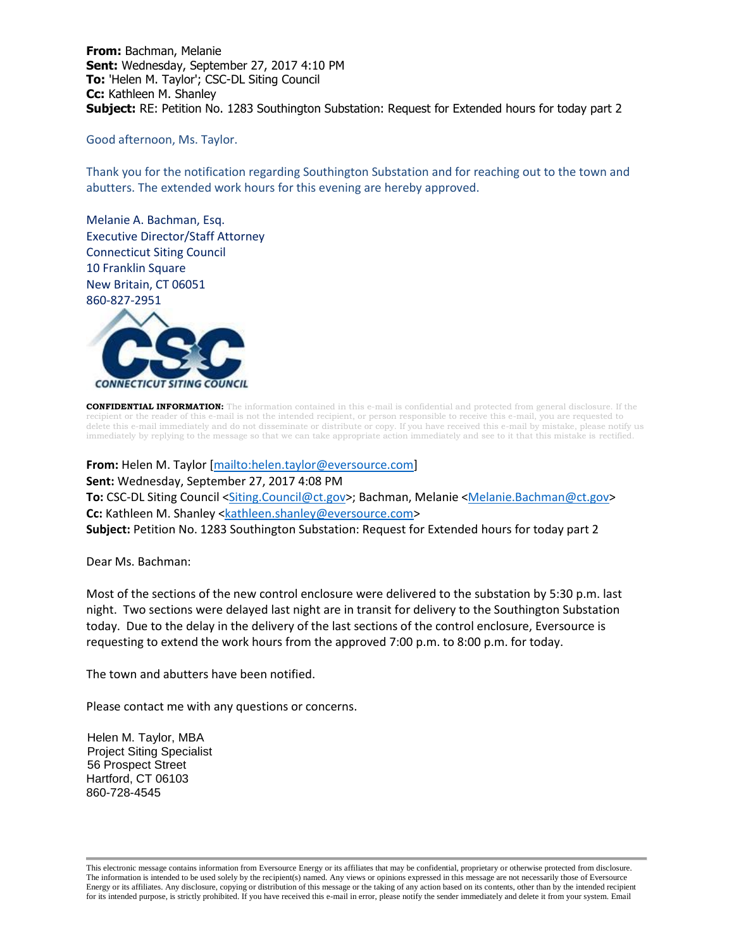**From:** Bachman, Melanie **Sent:** Wednesday, September 27, 2017 4:10 PM **To:** 'Helen M. Taylor'; CSC-DL Siting Council **Cc:** Kathleen M. Shanley **Subject:** RE: Petition No. 1283 Southington Substation: Request for Extended hours for today part 2

Good afternoon, Ms. Taylor.

Thank you for the notification regarding Southington Substation and for reaching out to the town and abutters. The extended work hours for this evening are hereby approved.

Melanie A. Bachman, Esq. Executive Director/Staff Attorney Connecticut Siting Council 10 Franklin Square New Britain, CT 06051 860-827-2951



**CONFIDENTIAL INFORMATION:** The information contained in this e-mail is confidential and protected from general disclosure. If the nt or the reader of this e-mail is not the intended recipient, or person responsible to receive this e-mail, you are requested to delete this e-mail immediately and do not disseminate or distribute or copy. If you have received this e-mail by mistake, please notify us immediately by replying to the message so that we can take appropriate action immediately and see to it that this mistake is rectified.

**From:** Helen M. Taylor [\[mailto:helen.taylor@eversource.com\]](mailto:helen.taylor@eversource.com) **Sent:** Wednesday, September 27, 2017 4:08 PM To: CSC-DL Siting Council [<Siting.Council@ct.gov>](mailto:Siting.Council@ct.gov); Bachman, Melanie [<Melanie.Bachman@ct.gov>](mailto:Melanie.Bachman@ct.gov) **Cc:** Kathleen M. Shanley [<kathleen.shanley@eversource.com>](mailto:kathleen.shanley@eversource.com) **Subject:** Petition No. 1283 Southington Substation: Request for Extended hours for today part 2

Dear Ms. Bachman:

Most of the sections of the new control enclosure were delivered to the substation by 5:30 p.m. last night. Two sections were delayed last night are in transit for delivery to the Southington Substation today. Due to the delay in the delivery of the last sections of the control enclosure, Eversource is requesting to extend the work hours from the approved 7:00 p.m. to 8:00 p.m. for today.

The town and abutters have been notified.

Please contact me with any questions or concerns.

Helen M. Taylor, MBA Project Siting Specialist 56 Prospect Street Hartford, CT 06103 860-728-4545

This electronic message contains information from Eversource Energy or its affiliates that may be confidential, proprietary or otherwise protected from disclosure. The information is intended to be used solely by the recipient(s) named. Any views or opinions expressed in this message are not necessarily those of Eversource Energy or its affiliates. Any disclosure, copying or distribution of this message or the taking of any action based on its contents, other than by the intended recipient for its intended purpose, is strictly prohibited. If you have received this e-mail in error, please notify the sender immediately and delete it from your system. Email